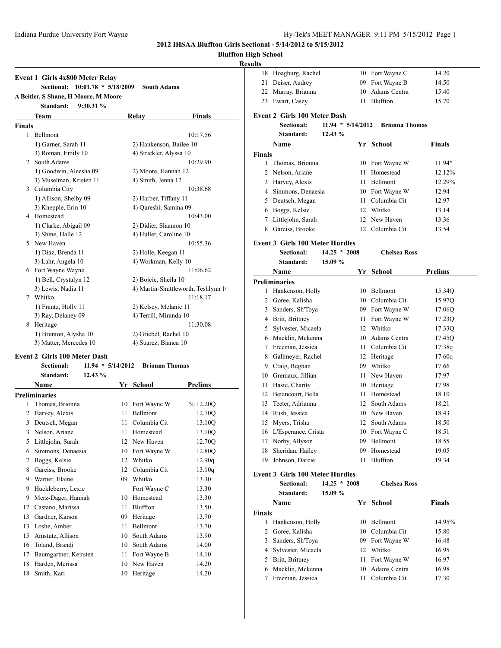**2012 IHSAA Bluffton Girls Sectional - 5/14/2012 to 5/15/2012**

# **Bluffton H**

### **Res**

| <b>Event 1 Girls 4x800 Meter Relay</b> |                                                   |                                                 |                    |                                    |
|----------------------------------------|---------------------------------------------------|-------------------------------------------------|--------------------|------------------------------------|
|                                        | Sectional:                                        | $10:01.78 * 5/18/2009$                          |                    | <b>South Adams</b>                 |
|                                        | A Beitler, S Shane, H Moore, M Moore<br>Standard: | 9:30.31%                                        |                    |                                    |
|                                        | Team                                              |                                                 | Relay              | <b>Finals</b>                      |
| <b>Finals</b>                          |                                                   |                                                 |                    |                                    |
| 1                                      | Bellmont                                          |                                                 |                    | 10:17.56                           |
|                                        | 1) Garner, Sarah 11                               |                                                 |                    | 2) Hankenson, Bailee 10            |
|                                        | 3) Roman, Emily 10                                |                                                 |                    | 4) Strickler, Alyssa 10            |
| 2                                      | South Adams                                       |                                                 |                    | 10:29.90                           |
|                                        | 1) Goodwin, Aleesha 09                            |                                                 |                    | 2) Moore, Hannah 12                |
|                                        | 3) Muselman, Kristen 11                           |                                                 | 4) Smith, Jenna 12 |                                    |
| 3                                      | Columbia City                                     |                                                 |                    | 10:38.68                           |
|                                        | 1) Allison, Shelby 09                             |                                                 |                    | 2) Harber, Tiffany 11              |
|                                        | 3) Knepple, Erin 10                               |                                                 |                    | 4) Qureshi, Samina 09              |
| 4                                      | Homestead                                         |                                                 |                    | 10:43.00                           |
|                                        | 1) Clarke, Abigail 09                             |                                                 |                    | 2) Didier, Shannon 10              |
|                                        | 3) Shine, Halle 12                                |                                                 |                    | 4) Huller, Caroline 10             |
|                                        | 5 New Haven                                       |                                                 |                    | 10:55.36                           |
|                                        | 1) Diaz, Brenda 11                                |                                                 |                    | 2) Holle, Keegan 11                |
|                                        | 3) Lahr, Angela 10                                |                                                 |                    | 4) Workman, Kelly 10               |
|                                        | 6 Fort Wayne Wayne                                |                                                 |                    | 11:06.62                           |
|                                        | 1) Bell, Crystalyn 12                             |                                                 |                    | 2) Bojcic, Sheila 10               |
|                                        | 3) Lewis, Nadia 11                                |                                                 |                    | 4) Martin-Shuttleworth, Teshlynn 1 |
| 7                                      | Whitko                                            |                                                 |                    | 11:18.17                           |
|                                        | 1) Frantz, Holly 11                               |                                                 |                    | 2) Kelsey, Melanie 11              |
|                                        | 3) Ray, Delaney 09                                |                                                 |                    | 4) Terrill, Miranda 10             |
| 8                                      | Heritage                                          |                                                 |                    | 11:30.08                           |
|                                        | 1) Brunton, Alysha 10                             |                                                 |                    | 2) Griebel, Rachel 10              |
|                                        | 3) Matter, Mercedes 10                            |                                                 |                    | 4) Suarez, Bianca 10               |
|                                        | <b>Event 2 Girls 100 Meter Dash</b>               |                                                 |                    |                                    |
|                                        | <b>Sectional:</b>                                 | $11.94 * 5/14/2012$                             |                    | <b>Brionna Thomas</b>              |
|                                        |                                                   | $\overline{12}$ $\overline{12}$ $\overline{12}$ |                    |                                    |

|    | Standard:<br>12.43%   |    |              |                |
|----|-----------------------|----|--------------|----------------|
|    | Name                  | Yr | School       | <b>Prelims</b> |
|    | <b>Preliminaries</b>  |    |              |                |
| 1  | Thomas, Brionna       | 10 | Fort Wayne W | % 12.20Q       |
| 2  | Harvey, Alexis        | 11 | Bellmont     | 12.70Q         |
| 3  | Deutsch, Megan        | 11 | Columbia Cit | 13.10O         |
| 3  | Nelson, Ariane        | 11 | Homestead    | 13.10Q         |
| 5  | Littlejohn, Sarah     | 12 | New Haven    | 12.70Q         |
| 6  | Simmons, Denaesia     | 10 | Fort Wayne W | 12.80Q         |
| 7  | Boggs, Kelsie         | 12 | Whitko       | 12.90q         |
| 8  | Gareiss, Brooke       | 12 | Columbia Cit | 13.10q         |
| 9  | Warner, Elaine        | 09 | Whitko       | 13.30          |
| 9  | Huckleberry, Lexie    |    | Fort Wayne C | 13.30          |
| 9  | Merz-Dager, Hannah    | 10 | Homestead    | 13.30          |
| 12 | Castano, Marissa      | 11 | Bluffton     | 13.50          |
| 13 | Gardner, Karson       | 09 | Heritage     | 13.70          |
| 13 | Loshe, Amber          | 11 | Bellmont     | 13.70          |
| 15 | Amstutz, Allison      | 10 | South Adams  | 13.90          |
| 16 | Toland, Brandi        | 10 | South Adams  | 14.00          |
| 17 | Baumgartner, Keirsten | 11 | Fort Wayne B | 14.10          |
| 18 | Harden, Merissa       | 10 | New Haven    | 14.20          |
| 18 | Smith, Kari           | 10 | Heritage     | 14.20          |
|    |                       |    |              |                |

| 18<br>Hoagburg, Rachel<br>10 Fort Wayne C<br>14.20<br>Deiser, Audrey<br>09 Fort Wayne B<br>14.50<br>22 Murray, Brianna<br>10 Adams Centra<br>15.40<br>Bluffton<br>23 Ewart, Casey<br>15.70<br>11<br><b>Event 2 Girls 100 Meter Dash</b><br>$11.94 * 5/14/2012$<br><b>Brionna Thomas</b><br><b>Sectional:</b><br>12.43%<br>Standard:<br>Name<br><b>Finals</b><br>Yr School<br>1<br>Thomas, Brionna<br>10 Fort Wayne W<br>Nelson, Ariane<br>11 Homestead<br>$\overline{2}$<br>3<br>Harvey, Alexis<br>11 Bellmont<br>4 Simmons, Denaesia<br>10 Fort Wayne W<br>12.94<br>11 Columbia Cit<br>5 Deutsch, Megan<br>12.97<br>6 Boggs, Kelsie<br>12 Whitko<br>13.14<br>Littlejohn, Sarah<br>12 New Haven<br>7<br>13.36<br>12 Columbia Cit<br>8<br>Gareiss, Brooke<br>13.54<br><b>Event 3 Girls 100 Meter Hurdles</b><br>$14.25 * 2008$<br><b>Sectional:</b><br><b>Chelsea Ross</b><br>15.09 %<br>Standard:<br>Name<br><b>Prelims</b><br>Yr School<br><b>Preliminaries</b><br>10 Bellmont<br>1 Hankenson, Holly<br>2 Goree, Kalisha<br>10 Columbia Cit<br>3<br>Sanders, Sh'Toya<br>09 Fort Wayne W<br>17.06Q<br>4 Britt, Brittney<br>Fort Wayne W<br>11<br>17.23Q<br>12 Whitko<br>5<br>Sylvester, Micaela<br>17.33Q<br>Macklin, Mckenna<br>10 Adams Centra<br>6<br>17.45Q<br>Freeman, Jessica<br>11 Columbia Cit<br>7<br>17.38q<br>8<br>Gallmeyer, Rachel<br>12 Heritage<br>17.60q<br>9 Craig, Reghan<br>09 Whitko<br>17.66<br>11 New Haven<br>10 Gremaux, Jillian<br>17.97<br>11<br>Haste, Charity<br>10 Heritage<br>17.98<br>12<br>Betancourt, Bella<br>11 Homestead<br>18.10<br>Teeter, Adrianna<br>12 South Adams<br>13<br>18.21<br>10 New Haven<br>14<br>Rush, Jessica<br>18.43<br>Myers, Trisha<br>South Adams<br>18.50<br>12<br>15<br>L'Esperance, Crista<br>10<br>Fort Wayne C<br>16<br>18.51<br>Bellmont<br>17<br>Norby, Allyson<br>09.<br>18.55<br>Sheridan, Hailey<br>09<br>Homestead<br>19.05<br>18<br>Johnson, Darcie<br>Bluffton<br>19.34<br>19<br>11<br><b>Event 3 Girls 100 Meter Hurdles</b><br>$14.25 * 2008$<br><b>Chelsea Ross</b><br><b>Sectional:</b><br>Standard:<br>15.09 %<br><b>School</b><br><b>Finals</b><br>Name<br>Yr<br>1<br>Hankenson, Holly<br>10 Bellmont<br>2<br>Goree, Kalisha<br>10 Columbia Cit<br>15.80<br>3<br>Sanders, Sh'Toya<br>Fort Wayne W<br>16.48<br>09 -<br>4<br>Sylvester, Micaela<br>12 Whitko<br>16.95<br>Britt, Brittney<br>Fort Wayne W<br>5<br>11 -<br>16.97<br>10 Adams Centra<br>Macklin, Mckenna<br>16.98<br>6<br>Columbia Cit<br>Freeman, Jessica<br>17.30<br>7<br>11 - | High School<br>sults |  |          |
|-------------------------------------------------------------------------------------------------------------------------------------------------------------------------------------------------------------------------------------------------------------------------------------------------------------------------------------------------------------------------------------------------------------------------------------------------------------------------------------------------------------------------------------------------------------------------------------------------------------------------------------------------------------------------------------------------------------------------------------------------------------------------------------------------------------------------------------------------------------------------------------------------------------------------------------------------------------------------------------------------------------------------------------------------------------------------------------------------------------------------------------------------------------------------------------------------------------------------------------------------------------------------------------------------------------------------------------------------------------------------------------------------------------------------------------------------------------------------------------------------------------------------------------------------------------------------------------------------------------------------------------------------------------------------------------------------------------------------------------------------------------------------------------------------------------------------------------------------------------------------------------------------------------------------------------------------------------------------------------------------------------------------------------------------------------------------------------------------------------------------------------------------------------------------------------------------------------------------------------------------------------------------------------------------------------------------------------------------------------------------------------------------------------------------------------------------------------------------------------------------------------------------|----------------------|--|----------|
|                                                                                                                                                                                                                                                                                                                                                                                                                                                                                                                                                                                                                                                                                                                                                                                                                                                                                                                                                                                                                                                                                                                                                                                                                                                                                                                                                                                                                                                                                                                                                                                                                                                                                                                                                                                                                                                                                                                                                                                                                                                                                                                                                                                                                                                                                                                                                                                                                                                                                                                         |                      |  |          |
|                                                                                                                                                                                                                                                                                                                                                                                                                                                                                                                                                                                                                                                                                                                                                                                                                                                                                                                                                                                                                                                                                                                                                                                                                                                                                                                                                                                                                                                                                                                                                                                                                                                                                                                                                                                                                                                                                                                                                                                                                                                                                                                                                                                                                                                                                                                                                                                                                                                                                                                         | 21                   |  |          |
|                                                                                                                                                                                                                                                                                                                                                                                                                                                                                                                                                                                                                                                                                                                                                                                                                                                                                                                                                                                                                                                                                                                                                                                                                                                                                                                                                                                                                                                                                                                                                                                                                                                                                                                                                                                                                                                                                                                                                                                                                                                                                                                                                                                                                                                                                                                                                                                                                                                                                                                         |                      |  |          |
|                                                                                                                                                                                                                                                                                                                                                                                                                                                                                                                                                                                                                                                                                                                                                                                                                                                                                                                                                                                                                                                                                                                                                                                                                                                                                                                                                                                                                                                                                                                                                                                                                                                                                                                                                                                                                                                                                                                                                                                                                                                                                                                                                                                                                                                                                                                                                                                                                                                                                                                         |                      |  |          |
|                                                                                                                                                                                                                                                                                                                                                                                                                                                                                                                                                                                                                                                                                                                                                                                                                                                                                                                                                                                                                                                                                                                                                                                                                                                                                                                                                                                                                                                                                                                                                                                                                                                                                                                                                                                                                                                                                                                                                                                                                                                                                                                                                                                                                                                                                                                                                                                                                                                                                                                         |                      |  |          |
|                                                                                                                                                                                                                                                                                                                                                                                                                                                                                                                                                                                                                                                                                                                                                                                                                                                                                                                                                                                                                                                                                                                                                                                                                                                                                                                                                                                                                                                                                                                                                                                                                                                                                                                                                                                                                                                                                                                                                                                                                                                                                                                                                                                                                                                                                                                                                                                                                                                                                                                         |                      |  |          |
|                                                                                                                                                                                                                                                                                                                                                                                                                                                                                                                                                                                                                                                                                                                                                                                                                                                                                                                                                                                                                                                                                                                                                                                                                                                                                                                                                                                                                                                                                                                                                                                                                                                                                                                                                                                                                                                                                                                                                                                                                                                                                                                                                                                                                                                                                                                                                                                                                                                                                                                         |                      |  |          |
|                                                                                                                                                                                                                                                                                                                                                                                                                                                                                                                                                                                                                                                                                                                                                                                                                                                                                                                                                                                                                                                                                                                                                                                                                                                                                                                                                                                                                                                                                                                                                                                                                                                                                                                                                                                                                                                                                                                                                                                                                                                                                                                                                                                                                                                                                                                                                                                                                                                                                                                         |                      |  |          |
|                                                                                                                                                                                                                                                                                                                                                                                                                                                                                                                                                                                                                                                                                                                                                                                                                                                                                                                                                                                                                                                                                                                                                                                                                                                                                                                                                                                                                                                                                                                                                                                                                                                                                                                                                                                                                                                                                                                                                                                                                                                                                                                                                                                                                                                                                                                                                                                                                                                                                                                         | <b>Finals</b>        |  |          |
|                                                                                                                                                                                                                                                                                                                                                                                                                                                                                                                                                                                                                                                                                                                                                                                                                                                                                                                                                                                                                                                                                                                                                                                                                                                                                                                                                                                                                                                                                                                                                                                                                                                                                                                                                                                                                                                                                                                                                                                                                                                                                                                                                                                                                                                                                                                                                                                                                                                                                                                         |                      |  | $11.94*$ |
|                                                                                                                                                                                                                                                                                                                                                                                                                                                                                                                                                                                                                                                                                                                                                                                                                                                                                                                                                                                                                                                                                                                                                                                                                                                                                                                                                                                                                                                                                                                                                                                                                                                                                                                                                                                                                                                                                                                                                                                                                                                                                                                                                                                                                                                                                                                                                                                                                                                                                                                         |                      |  | 12.12%   |
|                                                                                                                                                                                                                                                                                                                                                                                                                                                                                                                                                                                                                                                                                                                                                                                                                                                                                                                                                                                                                                                                                                                                                                                                                                                                                                                                                                                                                                                                                                                                                                                                                                                                                                                                                                                                                                                                                                                                                                                                                                                                                                                                                                                                                                                                                                                                                                                                                                                                                                                         |                      |  | 12.29%   |
|                                                                                                                                                                                                                                                                                                                                                                                                                                                                                                                                                                                                                                                                                                                                                                                                                                                                                                                                                                                                                                                                                                                                                                                                                                                                                                                                                                                                                                                                                                                                                                                                                                                                                                                                                                                                                                                                                                                                                                                                                                                                                                                                                                                                                                                                                                                                                                                                                                                                                                                         |                      |  |          |
|                                                                                                                                                                                                                                                                                                                                                                                                                                                                                                                                                                                                                                                                                                                                                                                                                                                                                                                                                                                                                                                                                                                                                                                                                                                                                                                                                                                                                                                                                                                                                                                                                                                                                                                                                                                                                                                                                                                                                                                                                                                                                                                                                                                                                                                                                                                                                                                                                                                                                                                         |                      |  |          |
|                                                                                                                                                                                                                                                                                                                                                                                                                                                                                                                                                                                                                                                                                                                                                                                                                                                                                                                                                                                                                                                                                                                                                                                                                                                                                                                                                                                                                                                                                                                                                                                                                                                                                                                                                                                                                                                                                                                                                                                                                                                                                                                                                                                                                                                                                                                                                                                                                                                                                                                         |                      |  |          |
|                                                                                                                                                                                                                                                                                                                                                                                                                                                                                                                                                                                                                                                                                                                                                                                                                                                                                                                                                                                                                                                                                                                                                                                                                                                                                                                                                                                                                                                                                                                                                                                                                                                                                                                                                                                                                                                                                                                                                                                                                                                                                                                                                                                                                                                                                                                                                                                                                                                                                                                         |                      |  |          |
|                                                                                                                                                                                                                                                                                                                                                                                                                                                                                                                                                                                                                                                                                                                                                                                                                                                                                                                                                                                                                                                                                                                                                                                                                                                                                                                                                                                                                                                                                                                                                                                                                                                                                                                                                                                                                                                                                                                                                                                                                                                                                                                                                                                                                                                                                                                                                                                                                                                                                                                         |                      |  |          |
|                                                                                                                                                                                                                                                                                                                                                                                                                                                                                                                                                                                                                                                                                                                                                                                                                                                                                                                                                                                                                                                                                                                                                                                                                                                                                                                                                                                                                                                                                                                                                                                                                                                                                                                                                                                                                                                                                                                                                                                                                                                                                                                                                                                                                                                                                                                                                                                                                                                                                                                         |                      |  |          |
|                                                                                                                                                                                                                                                                                                                                                                                                                                                                                                                                                                                                                                                                                                                                                                                                                                                                                                                                                                                                                                                                                                                                                                                                                                                                                                                                                                                                                                                                                                                                                                                                                                                                                                                                                                                                                                                                                                                                                                                                                                                                                                                                                                                                                                                                                                                                                                                                                                                                                                                         |                      |  |          |
|                                                                                                                                                                                                                                                                                                                                                                                                                                                                                                                                                                                                                                                                                                                                                                                                                                                                                                                                                                                                                                                                                                                                                                                                                                                                                                                                                                                                                                                                                                                                                                                                                                                                                                                                                                                                                                                                                                                                                                                                                                                                                                                                                                                                                                                                                                                                                                                                                                                                                                                         |                      |  |          |
|                                                                                                                                                                                                                                                                                                                                                                                                                                                                                                                                                                                                                                                                                                                                                                                                                                                                                                                                                                                                                                                                                                                                                                                                                                                                                                                                                                                                                                                                                                                                                                                                                                                                                                                                                                                                                                                                                                                                                                                                                                                                                                                                                                                                                                                                                                                                                                                                                                                                                                                         |                      |  |          |
|                                                                                                                                                                                                                                                                                                                                                                                                                                                                                                                                                                                                                                                                                                                                                                                                                                                                                                                                                                                                                                                                                                                                                                                                                                                                                                                                                                                                                                                                                                                                                                                                                                                                                                                                                                                                                                                                                                                                                                                                                                                                                                                                                                                                                                                                                                                                                                                                                                                                                                                         |                      |  |          |
|                                                                                                                                                                                                                                                                                                                                                                                                                                                                                                                                                                                                                                                                                                                                                                                                                                                                                                                                                                                                                                                                                                                                                                                                                                                                                                                                                                                                                                                                                                                                                                                                                                                                                                                                                                                                                                                                                                                                                                                                                                                                                                                                                                                                                                                                                                                                                                                                                                                                                                                         |                      |  | 15.34Q   |
|                                                                                                                                                                                                                                                                                                                                                                                                                                                                                                                                                                                                                                                                                                                                                                                                                                                                                                                                                                                                                                                                                                                                                                                                                                                                                                                                                                                                                                                                                                                                                                                                                                                                                                                                                                                                                                                                                                                                                                                                                                                                                                                                                                                                                                                                                                                                                                                                                                                                                                                         |                      |  | 15.97Q   |
|                                                                                                                                                                                                                                                                                                                                                                                                                                                                                                                                                                                                                                                                                                                                                                                                                                                                                                                                                                                                                                                                                                                                                                                                                                                                                                                                                                                                                                                                                                                                                                                                                                                                                                                                                                                                                                                                                                                                                                                                                                                                                                                                                                                                                                                                                                                                                                                                                                                                                                                         |                      |  |          |
|                                                                                                                                                                                                                                                                                                                                                                                                                                                                                                                                                                                                                                                                                                                                                                                                                                                                                                                                                                                                                                                                                                                                                                                                                                                                                                                                                                                                                                                                                                                                                                                                                                                                                                                                                                                                                                                                                                                                                                                                                                                                                                                                                                                                                                                                                                                                                                                                                                                                                                                         |                      |  |          |
|                                                                                                                                                                                                                                                                                                                                                                                                                                                                                                                                                                                                                                                                                                                                                                                                                                                                                                                                                                                                                                                                                                                                                                                                                                                                                                                                                                                                                                                                                                                                                                                                                                                                                                                                                                                                                                                                                                                                                                                                                                                                                                                                                                                                                                                                                                                                                                                                                                                                                                                         |                      |  |          |
|                                                                                                                                                                                                                                                                                                                                                                                                                                                                                                                                                                                                                                                                                                                                                                                                                                                                                                                                                                                                                                                                                                                                                                                                                                                                                                                                                                                                                                                                                                                                                                                                                                                                                                                                                                                                                                                                                                                                                                                                                                                                                                                                                                                                                                                                                                                                                                                                                                                                                                                         |                      |  |          |
|                                                                                                                                                                                                                                                                                                                                                                                                                                                                                                                                                                                                                                                                                                                                                                                                                                                                                                                                                                                                                                                                                                                                                                                                                                                                                                                                                                                                                                                                                                                                                                                                                                                                                                                                                                                                                                                                                                                                                                                                                                                                                                                                                                                                                                                                                                                                                                                                                                                                                                                         |                      |  |          |
|                                                                                                                                                                                                                                                                                                                                                                                                                                                                                                                                                                                                                                                                                                                                                                                                                                                                                                                                                                                                                                                                                                                                                                                                                                                                                                                                                                                                                                                                                                                                                                                                                                                                                                                                                                                                                                                                                                                                                                                                                                                                                                                                                                                                                                                                                                                                                                                                                                                                                                                         |                      |  |          |
|                                                                                                                                                                                                                                                                                                                                                                                                                                                                                                                                                                                                                                                                                                                                                                                                                                                                                                                                                                                                                                                                                                                                                                                                                                                                                                                                                                                                                                                                                                                                                                                                                                                                                                                                                                                                                                                                                                                                                                                                                                                                                                                                                                                                                                                                                                                                                                                                                                                                                                                         |                      |  |          |
|                                                                                                                                                                                                                                                                                                                                                                                                                                                                                                                                                                                                                                                                                                                                                                                                                                                                                                                                                                                                                                                                                                                                                                                                                                                                                                                                                                                                                                                                                                                                                                                                                                                                                                                                                                                                                                                                                                                                                                                                                                                                                                                                                                                                                                                                                                                                                                                                                                                                                                                         |                      |  |          |
|                                                                                                                                                                                                                                                                                                                                                                                                                                                                                                                                                                                                                                                                                                                                                                                                                                                                                                                                                                                                                                                                                                                                                                                                                                                                                                                                                                                                                                                                                                                                                                                                                                                                                                                                                                                                                                                                                                                                                                                                                                                                                                                                                                                                                                                                                                                                                                                                                                                                                                                         |                      |  |          |
|                                                                                                                                                                                                                                                                                                                                                                                                                                                                                                                                                                                                                                                                                                                                                                                                                                                                                                                                                                                                                                                                                                                                                                                                                                                                                                                                                                                                                                                                                                                                                                                                                                                                                                                                                                                                                                                                                                                                                                                                                                                                                                                                                                                                                                                                                                                                                                                                                                                                                                                         |                      |  |          |
|                                                                                                                                                                                                                                                                                                                                                                                                                                                                                                                                                                                                                                                                                                                                                                                                                                                                                                                                                                                                                                                                                                                                                                                                                                                                                                                                                                                                                                                                                                                                                                                                                                                                                                                                                                                                                                                                                                                                                                                                                                                                                                                                                                                                                                                                                                                                                                                                                                                                                                                         |                      |  |          |
|                                                                                                                                                                                                                                                                                                                                                                                                                                                                                                                                                                                                                                                                                                                                                                                                                                                                                                                                                                                                                                                                                                                                                                                                                                                                                                                                                                                                                                                                                                                                                                                                                                                                                                                                                                                                                                                                                                                                                                                                                                                                                                                                                                                                                                                                                                                                                                                                                                                                                                                         |                      |  |          |
|                                                                                                                                                                                                                                                                                                                                                                                                                                                                                                                                                                                                                                                                                                                                                                                                                                                                                                                                                                                                                                                                                                                                                                                                                                                                                                                                                                                                                                                                                                                                                                                                                                                                                                                                                                                                                                                                                                                                                                                                                                                                                                                                                                                                                                                                                                                                                                                                                                                                                                                         |                      |  |          |
|                                                                                                                                                                                                                                                                                                                                                                                                                                                                                                                                                                                                                                                                                                                                                                                                                                                                                                                                                                                                                                                                                                                                                                                                                                                                                                                                                                                                                                                                                                                                                                                                                                                                                                                                                                                                                                                                                                                                                                                                                                                                                                                                                                                                                                                                                                                                                                                                                                                                                                                         |                      |  |          |
|                                                                                                                                                                                                                                                                                                                                                                                                                                                                                                                                                                                                                                                                                                                                                                                                                                                                                                                                                                                                                                                                                                                                                                                                                                                                                                                                                                                                                                                                                                                                                                                                                                                                                                                                                                                                                                                                                                                                                                                                                                                                                                                                                                                                                                                                                                                                                                                                                                                                                                                         |                      |  |          |
|                                                                                                                                                                                                                                                                                                                                                                                                                                                                                                                                                                                                                                                                                                                                                                                                                                                                                                                                                                                                                                                                                                                                                                                                                                                                                                                                                                                                                                                                                                                                                                                                                                                                                                                                                                                                                                                                                                                                                                                                                                                                                                                                                                                                                                                                                                                                                                                                                                                                                                                         |                      |  |          |
|                                                                                                                                                                                                                                                                                                                                                                                                                                                                                                                                                                                                                                                                                                                                                                                                                                                                                                                                                                                                                                                                                                                                                                                                                                                                                                                                                                                                                                                                                                                                                                                                                                                                                                                                                                                                                                                                                                                                                                                                                                                                                                                                                                                                                                                                                                                                                                                                                                                                                                                         |                      |  |          |
|                                                                                                                                                                                                                                                                                                                                                                                                                                                                                                                                                                                                                                                                                                                                                                                                                                                                                                                                                                                                                                                                                                                                                                                                                                                                                                                                                                                                                                                                                                                                                                                                                                                                                                                                                                                                                                                                                                                                                                                                                                                                                                                                                                                                                                                                                                                                                                                                                                                                                                                         |                      |  |          |
|                                                                                                                                                                                                                                                                                                                                                                                                                                                                                                                                                                                                                                                                                                                                                                                                                                                                                                                                                                                                                                                                                                                                                                                                                                                                                                                                                                                                                                                                                                                                                                                                                                                                                                                                                                                                                                                                                                                                                                                                                                                                                                                                                                                                                                                                                                                                                                                                                                                                                                                         |                      |  |          |
|                                                                                                                                                                                                                                                                                                                                                                                                                                                                                                                                                                                                                                                                                                                                                                                                                                                                                                                                                                                                                                                                                                                                                                                                                                                                                                                                                                                                                                                                                                                                                                                                                                                                                                                                                                                                                                                                                                                                                                                                                                                                                                                                                                                                                                                                                                                                                                                                                                                                                                                         |                      |  |          |
|                                                                                                                                                                                                                                                                                                                                                                                                                                                                                                                                                                                                                                                                                                                                                                                                                                                                                                                                                                                                                                                                                                                                                                                                                                                                                                                                                                                                                                                                                                                                                                                                                                                                                                                                                                                                                                                                                                                                                                                                                                                                                                                                                                                                                                                                                                                                                                                                                                                                                                                         |                      |  |          |
|                                                                                                                                                                                                                                                                                                                                                                                                                                                                                                                                                                                                                                                                                                                                                                                                                                                                                                                                                                                                                                                                                                                                                                                                                                                                                                                                                                                                                                                                                                                                                                                                                                                                                                                                                                                                                                                                                                                                                                                                                                                                                                                                                                                                                                                                                                                                                                                                                                                                                                                         | <b>Finals</b>        |  |          |
|                                                                                                                                                                                                                                                                                                                                                                                                                                                                                                                                                                                                                                                                                                                                                                                                                                                                                                                                                                                                                                                                                                                                                                                                                                                                                                                                                                                                                                                                                                                                                                                                                                                                                                                                                                                                                                                                                                                                                                                                                                                                                                                                                                                                                                                                                                                                                                                                                                                                                                                         |                      |  | 14.95%   |
|                                                                                                                                                                                                                                                                                                                                                                                                                                                                                                                                                                                                                                                                                                                                                                                                                                                                                                                                                                                                                                                                                                                                                                                                                                                                                                                                                                                                                                                                                                                                                                                                                                                                                                                                                                                                                                                                                                                                                                                                                                                                                                                                                                                                                                                                                                                                                                                                                                                                                                                         |                      |  |          |
|                                                                                                                                                                                                                                                                                                                                                                                                                                                                                                                                                                                                                                                                                                                                                                                                                                                                                                                                                                                                                                                                                                                                                                                                                                                                                                                                                                                                                                                                                                                                                                                                                                                                                                                                                                                                                                                                                                                                                                                                                                                                                                                                                                                                                                                                                                                                                                                                                                                                                                                         |                      |  |          |
|                                                                                                                                                                                                                                                                                                                                                                                                                                                                                                                                                                                                                                                                                                                                                                                                                                                                                                                                                                                                                                                                                                                                                                                                                                                                                                                                                                                                                                                                                                                                                                                                                                                                                                                                                                                                                                                                                                                                                                                                                                                                                                                                                                                                                                                                                                                                                                                                                                                                                                                         |                      |  |          |
|                                                                                                                                                                                                                                                                                                                                                                                                                                                                                                                                                                                                                                                                                                                                                                                                                                                                                                                                                                                                                                                                                                                                                                                                                                                                                                                                                                                                                                                                                                                                                                                                                                                                                                                                                                                                                                                                                                                                                                                                                                                                                                                                                                                                                                                                                                                                                                                                                                                                                                                         |                      |  |          |
|                                                                                                                                                                                                                                                                                                                                                                                                                                                                                                                                                                                                                                                                                                                                                                                                                                                                                                                                                                                                                                                                                                                                                                                                                                                                                                                                                                                                                                                                                                                                                                                                                                                                                                                                                                                                                                                                                                                                                                                                                                                                                                                                                                                                                                                                                                                                                                                                                                                                                                                         |                      |  |          |
|                                                                                                                                                                                                                                                                                                                                                                                                                                                                                                                                                                                                                                                                                                                                                                                                                                                                                                                                                                                                                                                                                                                                                                                                                                                                                                                                                                                                                                                                                                                                                                                                                                                                                                                                                                                                                                                                                                                                                                                                                                                                                                                                                                                                                                                                                                                                                                                                                                                                                                                         |                      |  |          |
|                                                                                                                                                                                                                                                                                                                                                                                                                                                                                                                                                                                                                                                                                                                                                                                                                                                                                                                                                                                                                                                                                                                                                                                                                                                                                                                                                                                                                                                                                                                                                                                                                                                                                                                                                                                                                                                                                                                                                                                                                                                                                                                                                                                                                                                                                                                                                                                                                                                                                                                         |                      |  |          |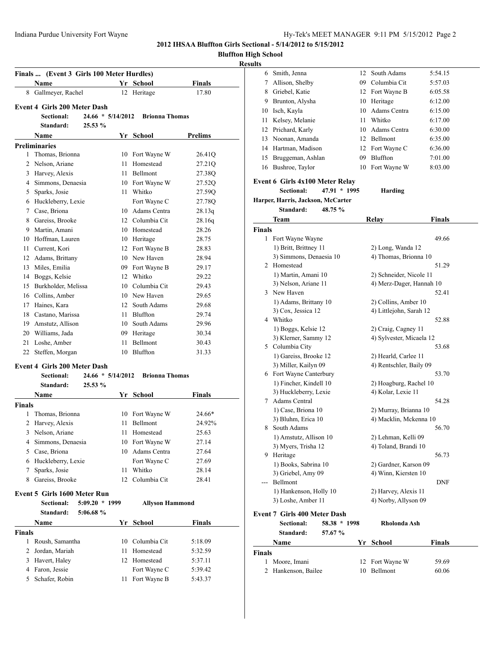# Indiana Purdue University Fort Wayne **Hy-Tek's MEET MANAGER** 9:11 PM 5/15/2012 Page 2

**2012 IHSAA Bluffton Girls Sectional - 5/14/2012 to 5/15/2012**

| Bluffton High School |  |
|----------------------|--|
|                      |  |

### **Results**

|               | Finals  (Event 3 Girls 100 Meter Hurdles)<br>Name        |                     |      | Yr School              | Finals        |
|---------------|----------------------------------------------------------|---------------------|------|------------------------|---------------|
|               | 8 Gallmeyer, Rachel                                      |                     |      | 12 Heritage            | 17.80         |
|               | <b>Event 4 Girls 200 Meter Dash</b>                      |                     |      |                        |               |
|               | Sectional:                                               | $24.66 * 5/14/2012$ |      | <b>Brionna Thomas</b>  |               |
|               | Standard:                                                | 25.53%              |      |                        |               |
|               | Name                                                     |                     |      | Yr School              | Prelims       |
|               | <b>Preliminaries</b>                                     |                     |      |                        |               |
| 1             | Thomas, Brionna                                          |                     |      | 10 Fort Wayne W        | 26.41Q        |
|               | 2 Nelson, Ariane                                         |                     | 11 - | Homestead              | 27.21Q        |
|               | 3 Harvey, Alexis                                         |                     |      | 11 Bellmont            | 27.38Q        |
|               | 4 Simmons, Denaesia                                      |                     |      | 10 Fort Wayne W        | 27.52Q        |
|               | 5 Sparks, Josie                                          |                     |      | 11 Whitko              | 27.59Q        |
|               | 6 Huckleberry, Lexie                                     |                     |      | Fort Wayne C           | 27.78Q        |
|               | 7 Case, Briona                                           |                     |      | 10 Adams Centra        | 28.13q        |
|               | 8 Gareiss, Brooke                                        |                     |      | 12 Columbia Cit        | 28.16q        |
|               | 9 Martin, Amani                                          |                     |      | 10 Homestead           | 28.26         |
|               | 10 Hoffman, Lauren                                       |                     |      | 10 Heritage            | 28.75         |
|               | 11 Current, Kori                                         |                     |      | 12 Fort Wayne B        | 28.83         |
|               | 12 Adams, Brittany                                       |                     |      | 10 New Haven           | 28.94         |
|               | 13 Miles, Emilia                                         |                     |      | 09 Fort Wayne B        | 29.17         |
|               | 14 Boggs, Kelsie                                         |                     |      | 12 Whitko              | 29.22         |
|               | 15 Burkholder, Melissa                                   |                     |      | 10 Columbia Cit        | 29.43         |
|               | 16 Collins, Amber                                        |                     |      | 10 New Haven           | 29.65         |
|               | 17 Haines, Kara                                          |                     |      | 12 South Adams         | 29.68         |
|               | 18 Castano, Marissa                                      |                     |      | 11 Bluffton            | 29.74         |
|               | 19 Amstutz, Allison                                      |                     |      | 10 South Adams         | 29.96         |
|               | 20 Williams, Jada                                        |                     |      | 09 Heritage            | 30.34         |
|               | 21 Loshe, Amber                                          |                     | 11 - | Bellmont               | 30.43         |
|               | 22 Steffen, Morgan                                       |                     |      | 10 Bluffton            | 31.33         |
|               |                                                          |                     |      |                        |               |
|               | <b>Event 4 Girls 200 Meter Dash</b><br><b>Sectional:</b> | $24.66 * 5/14/2012$ |      | <b>Brionna Thomas</b>  |               |
|               | Standard:                                                | 25.53 %             |      |                        |               |
|               | Name                                                     |                     |      | Yr School              |               |
| <b>Finals</b> |                                                          |                     |      |                        | Finals        |
| 1             | Thomas, Brionna                                          |                     |      | 10 Fort Wayne W        | 24.66*        |
| 2             | Harvey, Alexis                                           |                     | 11   | Bellmont               | 24.92%        |
|               | 3 Nelson, Ariane                                         |                     |      | 11 Homestead           | 25.63         |
|               | 4 Simmons, Denaesia                                      |                     |      | 10 Fort Wayne W        | 27.14         |
|               | 5 Case, Briona                                           |                     |      | 10 Adams Centra        | 27.64         |
|               | 6 Huckleberry, Lexie                                     |                     |      | Fort Wayne C           | 27.69         |
| 7             | Sparks, Josie                                            |                     | 11   | Whitko                 | 28.14         |
| 8             | Gareiss, Brooke                                          |                     | 12   | Columbia Cit           | 28.41         |
|               |                                                          |                     |      |                        |               |
|               | Event 5 Girls 1600 Meter Run                             |                     |      |                        |               |
|               | Sectional:                                               | $5:09.20 * 1999$    |      | <b>Allyson Hammond</b> |               |
|               | Standard:                                                | 5:06.68 %           |      |                        |               |
|               | Name                                                     |                     |      | Yr School              | <b>Finals</b> |
| <b>Finals</b> |                                                          |                     |      |                        |               |
| 1             | Roush, Samantha                                          |                     |      | 10 Columbia Cit        | 5:18.09       |
| 2             | Jordan, Mariah                                           |                     | 11   | Homestead              | 5:32.59       |
| 3             | Havert, Haley                                            |                     | 12   | Homestead              | 5:37.11       |

4 Faron, Jessie Fort Wayne C 5:39.42 5 Schafer, Robin 11 Fort Wayne B 5:43.37

| 6             | Smith, Jenna                                         | 12           | South Adams              | 5:54.15       |
|---------------|------------------------------------------------------|--------------|--------------------------|---------------|
| 7             | Allison, Shelby                                      |              | 09 Columbia Cit          | 5:57.03       |
| 8             | Griebel, Katie                                       |              | 12 Fort Wayne B          | 6:05.58       |
| 9             | Brunton, Alysha                                      |              | 10 Heritage              | 6:12.00       |
|               | 10 Isch, Kayla                                       |              | 10 Adams Centra          | 6:15.00       |
| 11            | Kelsey, Melanie                                      | 11           | Whitko                   | 6:17.00       |
|               | 12 Prichard, Karly                                   |              | 10 Adams Centra          | 6:30.00       |
|               | 13 Noonan, Amanda                                    |              | 12 Bellmont              | 6:35.00       |
|               | 14 Hartman, Madison                                  |              | 12 Fort Wayne C          | 6:36.00       |
|               | 15 Bruggeman, Ashlan                                 |              | 09 Bluffton              | 7:01.00       |
| 16            | Bushroe, Taylor                                      | 10           | Fort Wayne W             | 8:03.00       |
|               | Event 6 Girls 4x100 Meter Relay<br><b>Sectional:</b> | 47.91 * 1995 | Harding                  |               |
|               | Harper, Harris, Jackson, McCarter                    |              |                          |               |
|               | Standard:                                            | 48.75 %      |                          |               |
|               | Team                                                 |              | Relay                    | Finals        |
| <b>Finals</b> |                                                      |              |                          |               |
| 1             | Fort Wayne Wayne                                     |              |                          | 49.66         |
|               | 1) Britt, Brittney 11                                |              | 2) Long, Wanda 12        |               |
|               | 3) Simmons, Denaesia 10                              |              | 4) Thomas, Brionna 10    |               |
| 2             | Homestead                                            |              |                          | 51.29         |
|               | 1) Martin, Amani 10                                  |              | 2) Schneider, Nicole 11  |               |
|               | 3) Nelson, Ariane 11                                 |              | 4) Merz-Dager, Hannah 10 |               |
|               | 3 New Haven                                          |              |                          | 52.41         |
|               | 1) Adams, Brittany 10                                |              | 2) Collins, Amber 10     |               |
|               | 3) Cox, Jessica 12                                   |              | 4) Littlejohn, Sarah 12  |               |
|               | 4 Whitko                                             |              |                          | 52.88         |
|               | 1) Boggs, Kelsie 12                                  |              | 2) Craig, Cagney 11      |               |
|               | 3) Klerner, Sammy 12                                 |              | 4) Sylvester, Micaela 12 |               |
|               | 5 Columbia City                                      |              |                          | 53.68         |
|               | 1) Gareiss, Brooke 12                                |              | 2) Hearld, Carlee 11     |               |
|               | 3) Miller, Kailyn 09                                 |              | 4) Rentschler, Baily 09  |               |
|               | 6 Fort Wayne Canterbury                              |              |                          | 53.70         |
|               | 1) Fincher, Kindell 10                               |              | 2) Hoagburg, Rachel 10   |               |
|               | 3) Huckleberry, Lexie                                |              | 4) Kolar, Lexie 11       |               |
| 7             | Adams Central                                        |              |                          | 54.28         |
|               | 1) Case, Briona 10                                   |              | 2) Murray, Brianna 10    |               |
|               | 3) Bluhm, Erica 10                                   |              | 4) Macklin, Mckenna 10   |               |
| 8             | South Adams                                          |              |                          | 56.70         |
|               | 1) Amstutz, Allison 10                               |              | 2) Lehman, Kelli 09      |               |
|               | 3) Myers, Trisha 12                                  |              | 4) Toland, Brandi 10     |               |
|               | 9 Heritage                                           |              |                          | 56.73         |
|               | 1) Books, Sabrina 10                                 |              | 2) Gardner, Karson 09    |               |
|               | 3) Griebel, Amy 09                                   |              | 4) Winn, Kiersten 10     |               |
| ---           | Bellmont                                             |              |                          | DNF           |
|               | 1) Hankenson, Holly 10                               |              | 2) Harvey, Alexis 11     |               |
|               | 3) Loshe, Amber 11                                   |              | 4) Norby, Allyson 09     |               |
|               | <b>Event 7 Girls 400 Meter Dash</b>                  |              |                          |               |
|               | Sectional:                                           | 58.38 * 1998 | Rholonda Ash             |               |
|               | Standard:                                            | 57.67 %      |                          |               |
|               | Name                                                 |              | Yr School                | <b>Finals</b> |
| Finals        |                                                      |              |                          |               |
| 1             | Moore, Imani                                         | 12           | Fort Wayne W             | 59.69         |
| 2             | Hankenson, Bailee                                    |              | 10 Bellmont              | 60.06         |
|               |                                                      |              |                          |               |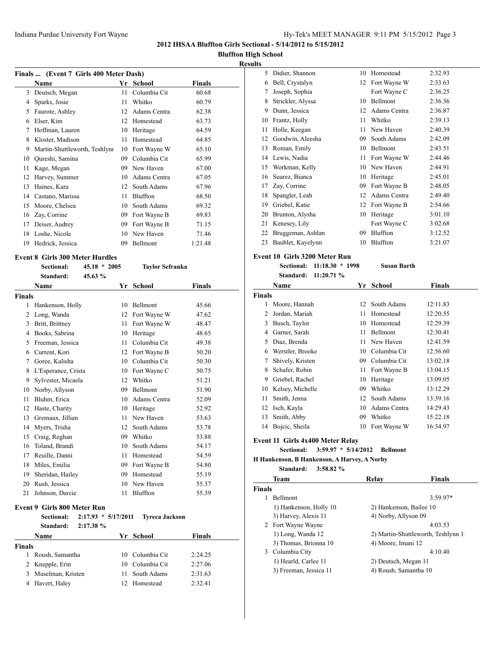#### Indiana Purdue University Fort Wayne **Hy-Tek's MEET MANAGER** 9:11 PM 5/15/2012 Page 3

**2012 IHSAA Bluffton Girls Sectional - 5/14/2012 to 5/15/2012**

**Bluffton High School**

# **Results**

| Finals  (Event 7 Girls 400 Meter Dash) |                               |    |              |               |  |
|----------------------------------------|-------------------------------|----|--------------|---------------|--|
|                                        | Name                          |    | Yr School    | <b>Finals</b> |  |
| 3                                      | Deutsch, Megan                | 11 | Columbia Cit | 60.68         |  |
| 4                                      | Sparks, Josie                 | 11 | Whitko       | 60.79         |  |
| 5                                      | Faurote, Ashley               | 12 | Adams Centra | 62.38         |  |
| 6                                      | Elser, Kim                    | 12 | Homestead    | 63.73         |  |
| 7                                      | Hoffman, Lauren               | 10 | Heritage     | 64.59         |  |
| 8                                      | Kloster, Madison              | 11 | Homestead    | 64.85         |  |
| 9                                      | Martin-Shuttleworth, Teshlyni | 10 | Fort Wayne W | 65.10         |  |
| 10                                     | Qureshi, Samina               | 09 | Columbia Cit | 65.99         |  |
| 11                                     | Kage, Megan                   | 09 | New Haven    | 67.00         |  |
| 12                                     | Harvey, Summer                | 10 | Adams Centra | 67.05         |  |
| 13                                     | Haines, Kara                  | 12 | South Adams  | 67.96         |  |
| 14                                     | Castano, Marissa              | 11 | Bluffton     | 68.50         |  |
| 15                                     | Moore, Chelsea                | 10 | South Adams  | 69.32         |  |
| 16                                     | Zay, Corrine                  | 09 | Fort Wayne B | 69.83         |  |
| 17                                     | Deiser, Audrey                | 09 | Fort Wayne B | 71.15         |  |
| 18                                     | Loshe, Nicole                 | 10 | New Haven    | 71.46         |  |
| 19                                     | Hedrick, Jessica              | 09 | Bellmont     | 1:21.48       |  |

**Sectional: 45.18 \* 2005 Taylor Sefranka**

#### **Event 8 Girls 300 Meter Hurdles**

| Sectional: | $45.18 * 2005$ |
|------------|----------------|
| Standard:  | 45.63 $%$      |

|               | <b>Name</b>         | Yr | School       | <b>Finals</b> |
|---------------|---------------------|----|--------------|---------------|
| <b>Finals</b> |                     |    |              |               |
| 1             | Hankenson, Holly    | 10 | Bellmont     | 45.66         |
| 2             | Long, Wanda         | 12 | Fort Wayne W | 47.62         |
| 3             | Britt, Brittney     | 11 | Fort Wayne W | 48.47         |
| 4             | Books, Sabrina      | 10 | Heritage     | 48.65         |
| 5             | Freeman, Jessica    | 11 | Columbia Cit | 49.38         |
| 6             | Current, Kori       | 12 | Fort Wayne B | 50.20         |
| 7             | Goree, Kalisha      | 10 | Columbia Cit | 50.30         |
| 8             | L'Esperance, Crista | 10 | Fort Wayne C | 50.75         |
| 9             | Sylvester, Micaela  | 12 | Whitko       | 51.21         |
| 10            | Norby, Allyson      | 09 | Bellmont     | 51.90         |
| 11            | Bluhm, Erica        | 10 | Adams Centra | 52.09         |
| 12            | Haste, Charity      | 10 | Heritage     | 52.92         |
| 13            | Gremaux, Jillian    | 11 | New Haven    | 53.63         |
| 14            | Myers, Trisha       | 12 | South Adams  | 53.78         |
| 15            | Craig, Reghan       | 09 | Whitko       | 53.88         |
| 16            | Toland, Brandi      | 10 | South Adams  | 54.17         |
| 17            | Reuille, Danni      | 11 | Homestead    | 54.59         |
| 18            | Miles, Emilia       | 09 | Fort Wayne B | 54.80         |
| 19            | Sheridan, Hailey    | 09 | Homestead    | 55.19         |
| 20            | Rush, Jessica       | 10 | New Haven    | 55.37         |
| 21            | Johnson, Darcie     | 11 | Bluffton     | 55.39         |

#### **Event 9 Girls 800 Meter Run**

|        | <b>Sectional:</b><br>Standard: | $2:17.93 * 5/17/2011$<br>2:17.38% |    | Tvreca Jackson  |               |
|--------|--------------------------------|-----------------------------------|----|-----------------|---------------|
|        | <b>Name</b>                    |                                   |    | Yr School       | <b>Finals</b> |
| Finals |                                |                                   |    |                 |               |
|        | Roush, Samantha                |                                   |    | 10 Columbia Cit | 2:24.25       |
|        | 2 Knepple, Erin                |                                   |    | 10 Columbia Cit | 2:27.06       |
| 3      | Muselman, Kristen              |                                   | 11 | South Adams     | 2:31.63       |
|        | 4 Havert, Haley                |                                   |    | 12 Homestead    | 2:32.41       |
|        |                                |                                   |    |                 |               |

| 5. | Didier, Shannon   | 10 | Homestead       | 2:32.93 |
|----|-------------------|----|-----------------|---------|
| 6  | Bell, Crystalyn   | 12 | Fort Wayne W    | 2:33.63 |
| 7  | Joseph, Sophia    |    | Fort Wayne C    | 2:36.25 |
| 8  | Strickler, Alyssa | 10 | <b>Bellmont</b> | 2:36.36 |
| 9  | Dunn, Jessica     | 12 | Adams Centra    | 2:36.87 |
| 10 | Frantz, Holly     | 11 | Whitko          | 2:39.13 |
| 11 | Holle, Keegan     | 11 | New Haven       | 2:40.39 |
| 12 | Goodwin, Aleesha  | 09 | South Adams     | 2:42.09 |
| 13 | Roman, Emily      | 10 | Bellmont        | 2:43.51 |
| 14 | Lewis, Nadia      | 11 | Fort Wayne W    | 2:44.46 |
| 15 | Workman, Kelly    | 10 | New Haven       | 2:44.91 |
| 16 | Suarez, Bianca    | 10 | Heritage        | 2:45.01 |
| 17 | Zay, Corrine      | 09 | Fort Wayne B    | 2:48.05 |
| 18 | Spangler, Leah    | 12 | Adams Centra    | 2:49.40 |
| 19 | Griebel, Katie    | 12 | Fort Wayne B    | 2:54.66 |
| 20 | Brunton, Alysha   | 10 | Heritage        | 3:01.10 |
| 21 | Kenesey, Lily     |    | Fort Wayne C    | 3:02.68 |
| 22 | Bruggeman, Ashlan | 09 | Bluffton        | 3:12.52 |
| 23 | Baublet, Kayelynn | 10 | Bluffton        | 3:21.07 |
|    |                   |    |                 |         |

# **Event 10 Girls 3200 Meter Run**

**Sectional: 11:18.30 \* 1998 Susan Barth Standard: 11:20.71 %**

|        | Name             | Yr | <b>School</b> | Finals   |
|--------|------------------|----|---------------|----------|
| Finals |                  |    |               |          |
| 1      | Moore, Hannah    | 12 | South Adams   | 12:11.83 |
| 2      | Jordan, Mariah   | 11 | Homestead     | 12:20.55 |
| 3      | Busch, Taylor    | 10 | Homestead     | 12:29.39 |
| 4      | Garner, Sarah    | 11 | Bellmont      | 12:30.41 |
| 5      | Diaz, Brenda     | 11 | New Haven     | 12:41.59 |
| 6      | Werstler, Brooke | 10 | Columbia Cit  | 12:56.60 |
| 7      | Shively, Kristen | 09 | Columbia Cit  | 13:02.18 |
| 8      | Schafer, Robin   | 11 | Fort Wayne B  | 13:04.15 |
| 9      | Griebel, Rachel  | 10 | Heritage      | 13:09.05 |
| 10     | Kelsey, Michelle | 09 | Whitko        | 13:12.29 |
| 11     | Smith, Jenna     | 12 | South Adams   | 13:39.16 |
| 12     | Isch, Kayla      | 10 | Adams Centra  | 14:29.43 |
| 13     | Smith, Abby      | 09 | Whitko        | 15:22.18 |
| 14     | Bojcic, Sheila   | 10 | Fort Wayne W  | 16:34.97 |

#### **Event 11 Girls 4x400 Meter Relay**

**Sectional: 3:59.97 \* 5/14/2012 Bellmont**

**H Hankenson, B Hankenson, A Harvey, A Norby**

**Standard: 3:58.82 %**

|               | Team                   | Relav                   | <b>Finals</b>                      |
|---------------|------------------------|-------------------------|------------------------------------|
| <b>Finals</b> |                        |                         |                                    |
|               | <b>Bellmont</b>        |                         | $3:59.97*$                         |
|               | 1) Hankenson, Holly 10 | 2) Hankenson, Bailee 10 |                                    |
|               | 3) Harvey, Alexis 11   | 4) Norby, Allyson 09    |                                    |
|               | 2 Fort Wayne Wayne     |                         | 4:03.53                            |
|               | 1) Long, Wanda 12      |                         | 2) Martin-Shuttleworth, Teshlynn 1 |
|               | 3) Thomas, Brionna 10  | 4) Moore, Imani 12      |                                    |
| 3             | Columbia City          |                         | 4:10.40                            |
|               | 1) Hearld, Carlee 11   | 2) Deutsch, Megan 11    |                                    |
|               | 3) Freeman, Jessica 11 | 4) Roush, Samantha 10   |                                    |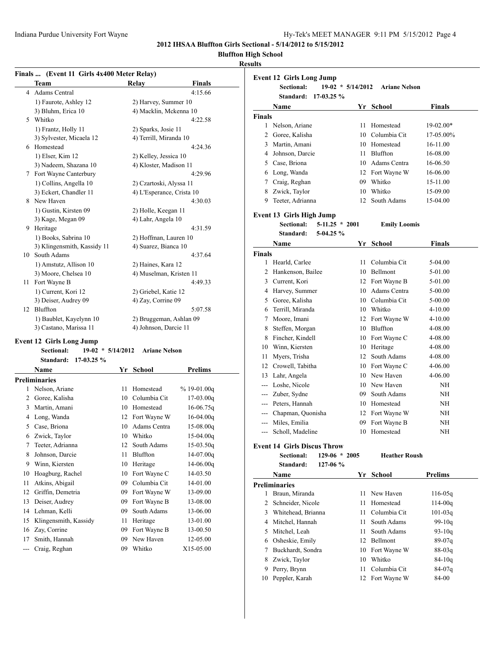| Hy-Tek's MEET MANAGER 9:11 PM 5/15/2012 Page 4 |  |  |  |
|------------------------------------------------|--|--|--|
|------------------------------------------------|--|--|--|

**2012 IHSAA Bluffton Girls Sectional - 5/14/2012 to 5/15/2012**

# **Bluffton High School**

### **Results**

| Team<br>4 Adams Central         | <b>Relay</b>              | <b>Finals</b> |
|---------------------------------|---------------------------|---------------|
|                                 |                           |               |
|                                 |                           | 4:15.66       |
| 1) Faurote, Ashley 12           | 2) Harvey, Summer 10      |               |
| 3) Bluhm, Erica 10              | 4) Macklin, Mckenna 10    |               |
| 5 Whitko                        |                           | 4:22.58       |
| 1) Frantz, Holly 11             | 2) Sparks, Josie 11       |               |
| 3) Sylvester, Micaela 12        | 4) Terrill, Miranda 10    |               |
| 6 Homestead                     |                           | 4:24.36       |
| 1) Elser, Kim 12                | 2) Kelley, Jessica 10     |               |
| 3) Nadeem, Shazana 10           | 4) Kloster, Madison 11    |               |
| 7 Fort Wayne Canterbury         |                           | 4:29.96       |
| 1) Collins, Angella 10          | 2) Czartoski, Alyssa 11   |               |
| 3) Eckert, Chandler 11          | 4) L'Esperance, Crista 10 |               |
| 8 New Haven                     |                           | 4:30.03       |
| 1) Gustin, Kirsten 09           | 2) Holle, Keegan 11       |               |
| 3) Kage, Megan 09               | 4) Lahr, Angela 10        |               |
| 9 Heritage                      |                           | 4:31.59       |
| 1) Books, Sabrina 10            | 2) Hoffman, Lauren 10     |               |
| 3) Klingensmith, Kassidy 11     | 4) Suarez, Bianca 10      |               |
| 10 South Adams                  |                           | 4:37.64       |
| 1) Amstutz, Allison 10          | 2) Haines, Kara 12        |               |
| 3) Moore, Chelsea 10            | 4) Muselman, Kristen 11   |               |
| 11 Fort Wayne B                 |                           | 4:49.33       |
| 1) Current, Kori 12             | 2) Griebel, Katie 12      |               |
| 3) Deiser, Audrey 09            | 4) Zay, Corrine 09        |               |
| 12 Bluffton                     |                           | 5:07.58       |
| 1) Baublet, Kayelynn 10         | 2) Bruggeman, Ashlan 09   |               |
| 3) Castano, Marissa 11          | 4) Johnson, Darcie 11     |               |
| <b>Event 12 Girls Long Jump</b> |                           |               |
|                                 |                           |               |

| Sectional: | $19-02 * 5/14/2012$  | <b>Ariane Nels</b> |
|------------|----------------------|--------------------|
|            | Standard: 17-03.25 % |                    |

|    | Name                  | Yr | School       | <b>Prelims</b> |  |  |  |
|----|-----------------------|----|--------------|----------------|--|--|--|
|    | Preliminaries         |    |              |                |  |  |  |
| 1  | Nelson, Ariane        | 11 | Homestead    | $% 19-01.00q$  |  |  |  |
| 2  | Goree, Kalisha        | 10 | Columbia Cit | $17-03.00q$    |  |  |  |
| 3  | Martin, Amani         | 10 | Homestead    | 16-06.75q      |  |  |  |
| 4  | Long, Wanda           | 12 | Fort Wayne W | $16-04.00q$    |  |  |  |
| 5  | Case, Briona          | 10 | Adams Centra | $15-08.00q$    |  |  |  |
| 6  | Zwick, Taylor         | 10 | Whitko       | 15-04.00g      |  |  |  |
| 7  | Teeter, Adrianna      | 12 | South Adams  | $15-03.50q$    |  |  |  |
| 8  | Johnson, Darcie       | 11 | Bluffton     | 14-07.00g      |  |  |  |
| 9  | Winn, Kiersten        | 10 | Heritage     | $14 - 06.00q$  |  |  |  |
| 10 | Hoagburg, Rachel      | 10 | Fort Wayne C | 14-03.50       |  |  |  |
| 11 | Atkins, Abigail       | 09 | Columbia Cit | 14-01.00       |  |  |  |
| 12 | Griffin, Demetria     | 09 | Fort Wayne W | 13-09.00       |  |  |  |
| 13 | Deiser, Audrey        | 09 | Fort Wayne B | 13-08.00       |  |  |  |
| 14 | Lehman, Kelli         | 09 | South Adams  | 13-06.00       |  |  |  |
| 15 | Klingensmith, Kassidy | 11 | Heritage     | 13-01.00       |  |  |  |
| 16 | Zay, Corrine          | 09 | Fort Wayne B | 13-00.50       |  |  |  |
| 17 | Smith, Hannah         | 09 | New Haven    | 12-05.00       |  |  |  |
|    | Craig, Reghan         | 09 | Whitko       | X15-05.00      |  |  |  |
|    |                       |    |              |                |  |  |  |

|                | <b>Event 12 Girls Long Jump</b>    |                  |                 |                                 |                |
|----------------|------------------------------------|------------------|-----------------|---------------------------------|----------------|
|                | <b>Sectional:</b>                  |                  |                 | 19-02 * 5/14/2012 Ariane Nelson |                |
|                | Standard:                          | $17-03.25 \%$    |                 |                                 |                |
|                | <b>Name</b>                        |                  |                 | Yr School                       | <b>Finals</b>  |
| <b>Finals</b>  |                                    |                  |                 |                                 |                |
|                | 1 Nelson, Ariane                   |                  | 11              | Homestead                       | 19-02.00*      |
|                | 2 Goree, Kalisha                   |                  | 10              | Columbia Cit                    | 17-05.00%      |
|                | 3 Martin, Amani                    |                  | 10              | Homestead                       | 16-11.00       |
|                | 4 Johnson, Darcie                  |                  | 11.             | Bluffton                        | 16-08.00       |
|                | 5 Case, Briona                     |                  | 10.             | Adams Centra                    | 16-06.50       |
|                | 6 Long, Wanda                      |                  | 12              | Fort Wayne W                    | 16-06.00       |
|                | 7 Craig, Reghan                    |                  | 09.             | Whitko                          | 15-11.00       |
|                | 8 Zwick, Taylor                    |                  | 10              | Whitko                          | 15-09.00       |
|                | 9 Teeter, Adrianna                 |                  | 12              | South Adams                     | 15-04.00       |
|                | Event 13 Girls High Jump           |                  |                 |                                 |                |
|                | <b>Sectional:</b>                  | $5-11.25 * 2001$ |                 | <b>Emily Loomis</b>             |                |
|                | Standard:                          | $5-04.25 \%$     |                 |                                 |                |
|                | Name                               |                  |                 | Yr School                       | Finals         |
| Finals         |                                    |                  |                 |                                 |                |
|                | 1 Hearld, Carlee                   |                  | 11              | Columbia Cit                    | 5-04.00        |
|                | 2 Hankenson, Bailee                |                  | 10              | Bellmont                        | 5-01.00        |
|                | 3 Current, Kori                    |                  | 12              | Fort Wayne B                    | 5-01.00        |
|                | 4 Harvey, Summer                   |                  | 10.             | Adams Centra                    | 5-00.00        |
|                | 5 Goree, Kalisha                   |                  |                 | 10 Columbia Cit                 | 5-00.00        |
|                | 6 Terrill, Miranda                 |                  |                 | 10 Whitko                       | 4-10.00        |
|                | 7 Moore, Imani                     |                  |                 | 12 Fort Wayne W                 | 4-10.00        |
|                | 8 Steffen, Morgan                  |                  |                 | 10 Bluffton                     | 4-08.00        |
|                | 8 Fincher, Kindell                 |                  |                 | 10 Fort Wayne C                 | 4-08.00        |
|                | 10 Winn, Kiersten                  |                  |                 | 10 Heritage                     | 4-08.00        |
| 11.            | Myers, Trisha                      |                  |                 | 12 South Adams                  | 4-08.00        |
|                | 12 Crowell, Tabitha                |                  |                 | 10 Fort Wayne C                 | 4-06.00        |
|                | 13 Lahr, Angela                    |                  |                 | 10 New Haven                    | 4-06.00        |
|                | --- Loshe, Nicole                  |                  |                 | 10 New Haven                    | NH             |
|                | --- Zuber, Sydne                   |                  | 09.             | South Adams                     | NH             |
|                | --- Peters, Hannah                 |                  |                 | 10 Homestead                    | NH             |
|                | --- Chapman, Quonisha              |                  |                 | 12 Fort Wayne W                 | NH             |
|                | --- Miles, Emilia                  |                  | 09              | Fort Wayne B                    | NН             |
| ---            | Scholl, Madeline                   |                  | 10              | Homestead                       | NΗ             |
|                | <b>Event 14 Girls Discus Throw</b> |                  |                 |                                 |                |
|                | <b>Sectional:</b>                  | $129-06 * 2005$  |                 | <b>Heather Roush</b>            |                |
|                | Standard:                          | $127-06$ %       |                 |                                 |                |
|                | <b>Name</b>                        |                  |                 | Yr School                       | <b>Prelims</b> |
|                | <b>Preliminaries</b>               |                  |                 |                                 |                |
| $\mathbf{1}$   | Braun, Miranda                     |                  | 11.             | New Haven                       | 116-05g        |
| $\overline{2}$ | Schneider, Nicole                  |                  | 11              | Homestead                       | $114 - 00q$    |
|                | 3 Whitehead, Brianna               |                  | 11              | Columbia Cit                    | $101 - 03q$    |
|                | 4 Mitchel, Hannah                  |                  | 11 -            | South Adams                     | $99-10q$       |
|                | 5 Mitchel, Leah                    |                  | 11 -            | South Adams                     | $93 - 10q$     |
|                | 6 Osheskie, Emily                  |                  | 12 <sup>2</sup> | Bellmont                        | 89-07q         |
| $7^{\circ}$    | Buckhardt, Sondra                  |                  | 10              | Fort Wayne W                    | $88-03q$       |
|                | 8 Zwick, Taylor                    |                  | 10              | Whitko                          | $84 - 10q$     |
|                | 9 Perry, Brynn                     |                  | 11              | Columbia Cit                    | $84-07q$       |
|                | 10 Peppler, Karah                  |                  | 12 <sup>°</sup> | Fort Wayne W                    | 84-00          |